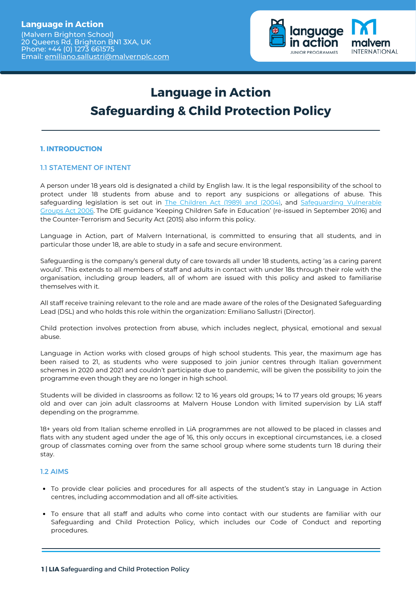

# **Language in Action Safeguarding & Child Protection Policy**

## **1. INTRODUCTION**

## 1.1 STATEMENT OF INTENT

A person under 18 years old is designated a child by English law. It is the legal responsibility of the school to protect under 18 students from abuse and to report any suspicions or allegations of abuse. This safeguarding legislation is set out in The [Children](http://www.hmso.gov.uk/acts/acts1989/Ukpga_19890041_en_1.htm) Act (1989) and (2004)[,](http://www.hmso.gov.uk/acts/acts1989/Ukpga_19890041_en_1.htm) and [Safeguarding](http://www.legislation.gov.uk/ukpga/2006/47/contents) Vulnerable Groups Act 2006[.](http://www.legislation.gov.uk/ukpga/2006/47/contents) The DfE guidance 'Keeping Children Safe in Education' (re-issued in September 2016) and the Counter-Terrorism and Security Act (2015) also inform this policy.

Language in Action, part of Malvern International, is committed to ensuring that all students, and in particular those under 18, are able to study in a safe and secure environment.

Safeguarding is the company's general duty of care towards all under 18 students, acting 'as a caring parent would'. This extends to all members of staff and adults in contact with under 18s through their role with the organisation, including group leaders, all of whom are issued with this policy and asked to familiarise themselves with it.

All staff receive training relevant to the role and are made aware of the roles of the Designated Safeguarding Lead (DSL) and who holds this role within the organization: Emiliano Sallustri (Director).

Child protection involves protection from abuse, which includes neglect, physical, emotional and sexual abuse.

Language in Action works with closed groups of high school students. This year, the maximum age has been raised to 21, as students who were supposed to join junior centres through Italian government schemes in 2020 and 2021 and couldn't participate due to pandemic, will be given the possibility to join the programme even though they are no longer in high school.

Students will be divided in classrooms as follow: 12 to 16 years old groups; 14 to 17 years old groups; 16 years old and over can join adult classrooms at Malvern House London with limited supervision by LiA staff depending on the programme.

18+ years old from Italian scheme enrolled in LiA programmes are not allowed to be placed in classes and flats with any student aged under the age of 16, this only occurs in exceptional circumstances, i.e. a closed group of classmates coming over from the same school group where some students turn 18 during their stay.

#### 1.2 AIMS

- To provide clear policies and procedures for all aspects of the student's stay in Language in Action centres, including accommodation and all off-site activities.
- To ensure that all staff and adults who come into contact with our students are familiar with our Safeguarding and Child Protection Policy, which includes our Code of Conduct and reporting procedures.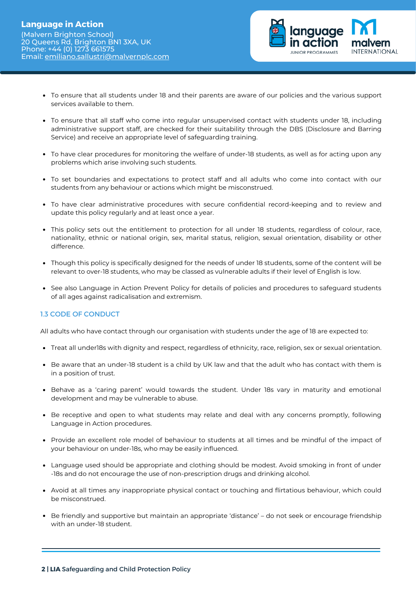

- To ensure that all students under 18 and their parents are aware of our policies and the various support services available to them.
- To ensure that all staff who come into regular unsupervised contact with students under 18, including administrative support staff, are checked for their suitability through the DBS (Disclosure and Barring Service) and receive an appropriate level of safeguarding training.
- To have clear procedures for monitoring the welfare of under-18 students, as well as for acting upon any problems which arise involving such students.
- To set boundaries and expectations to protect staff and all adults who come into contact with our students from any behaviour or actions which might be misconstrued.
- To have clear administrative procedures with secure confidential record-keeping and to review and update this policy regularly and at least once a year.
- This policy sets out the entitlement to protection for all under 18 students, regardless of colour, race, nationality, ethnic or national origin, sex, marital status, religion, sexual orientation, disability or other difference.
- Though this policy is specifically designed for the needs of under 18 students, some of the content will be relevant to over-18 students, who may be classed as vulnerable adults if their level of English is low.
- See also Language in Action Prevent Policy for details of policies and procedures to safeguard students of all ages against radicalisation and extremism.

## 1.3 CODE OF CONDUCT

All adults who have contact through our organisation with students under the age of 18 are expected to:

- Treat all under18s with dignity and respect, regardless of ethnicity, race, religion, sex or sexual orientation.
- Be aware that an under-18 student is a child by UK law and that the adult who has contact with them is in a position of trust.
- Behave as a 'caring parent' would towards the student. Under 18s vary in maturity and emotional development and may be vulnerable to abuse.
- Be receptive and open to what students may relate and deal with any concerns promptly, following Language in Action procedures.
- Provide an excellent role model of behaviour to students at all times and be mindful of the impact of your behaviour on under-18s, who may be easily influenced.
- Language used should be appropriate and clothing should be modest. Avoid smoking in front of under -18s and do not encourage the use of non-prescription drugs and drinking alcohol.
- Avoid at all times any inappropriate physical contact or touching and flirtatious behaviour, which could be misconstrued.
- Be friendly and supportive but maintain an appropriate 'distance' do not seek or encourage friendship with an under-18 student.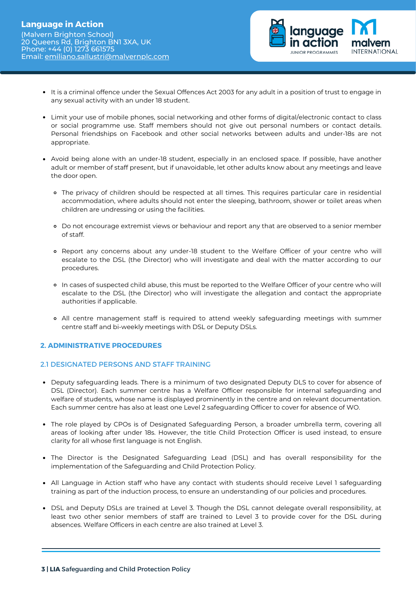

- It is a criminal offence under the Sexual Offences Act 2003 for any adult in a position of trust to engage in any sexual activity with an under 18 student.
- Limit your use of mobile phones, social networking and other forms of digital/electronic contact to class or social programme use. Staff members should not give out personal numbers or contact details. Personal friendships on Facebook and other social networks between adults and under-18s are not appropriate.
- Avoid being alone with an under-18 student, especially in an enclosed space. If possible, have another adult or member of staff present, but if unavoidable, let other adults know about any meetings and leave the door open.
	- The privacy of children should be respected at all times. This requires particular care in residential accommodation, where adults should not enter the sleeping, bathroom, shower or toilet areas when children are undressing or using the facilities.
	- Do not encourage extremist views or behaviour and report any that are observed to a senior member of staff.
	- Report any concerns about any under-18 student to the Welfare Officer of your centre who will escalate to the DSL (the Director) who will investigate and deal with the matter according to our procedures.
	- In cases of suspected child abuse, this must be reported to the Welfare Officer of your centre who will escalate to the DSL (the Director) who will investigate the allegation and contact the appropriate authorities if applicable.
	- All centre management staff is required to attend weekly safeguarding meetings with summer centre staff and bi-weekly meetings with DSL or Deputy DSLs.

## **2. ADMINISTRATIVE PROCEDURES**

## 2.1 DESIGNATED PERSONS AND STAFF TRAINING

- Deputy safeguarding leads. There is a minimum of two designated Deputy DLS to cover for absence of DSL (Director). Each summer centre has a Welfare Officer responsible for internal safeguarding and welfare of students, whose name is displayed prominently in the centre and on relevant documentation. Each summer centre has also at least one Level 2 safeguarding Officer to cover for absence of WO.
- The role played by CPOs is of Designated Safeguarding Person, a broader umbrella term, covering all areas of looking after under 18s. However, the title Child Protection Officer is used instead, to ensure clarity for all whose first language is not English.
- The Director is the Designated Safeguarding Lead (DSL) and has overall responsibility for the implementation of the Safeguarding and Child Protection Policy.
- All Language in Action staff who have any contact with students should receive Level 1 safeguarding training as part of the induction process, to ensure an understanding of our policies and procedures.
- DSL and Deputy DSLs are trained at Level 3. Though the DSL cannot delegate overall responsibility, at least two other senior members of staff are trained to Level 3 to provide cover for the DSL during absences. Welfare Officers in each centre are also trained at Level 3.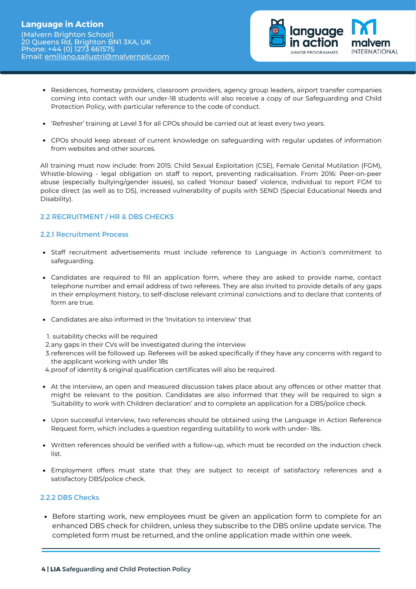

- Residences, homestay providers, classroom providers, agency group leaders, airport transfer companies coming into contact with our under-18 students will also receive a copy of our Safeguarding and Child Protection Policy, with particular reference to the code of conduct.
- 'Refresher' training at Level 3 for all CPOs should be carried out at least every two years.
- CPOs should keep abreast of current knowledge on safeguarding with regular updates of information from websites and other sources.

All training must now include: from 2015: Child Sexual Exploitation (CSE), Female Genital Mutilation (FGM), Whistle-blowing - legal obligation on staff to report, preventing radicalisation. From 2016: Peer-on-peer abuse (especially bullying/gender issues), so called 'Honour based' violence, individual to report FGM to police direct (as well as to DS), increased vulnerability of pupils with SEND (Special Educational Needs and Disability).

## 2.2 RECRUITMENT / HR & DBS CHECKS

## 2.2.1 Recruitment Process

- Staff recruitment advertisements must include reference to Language in Action's commitment to safeguarding.
- Candidates are required to fill an application form, where they are asked to provide name, contact telephone number and email address of two referees. They are also invited to provide details of any gaps in their employment history, to self-disclose relevant criminal convictions and to declare that contents of form are true.
- Candidates are also informed in the 'Invitation to interview' that
- 1. suitability checks will be required
- 2.any gaps in their CVs will be investigated during the interview
- 3.references will be followed up. Referees will be asked specifically if they have any concerns with regard to the applicant working with under 18s
- 4. proof of identity & original qualification certificates will also be required.
- At the interview, an open and measured discussion takes place about any offences or other matter that might be relevant to the position. Candidates are also informed that they will be required to sign a 'Suitability to work with Children declaration' and to complete an application for a DBS/police check.
- Upon successful interview, two references should be obtained using the Language in Action Reference Request form, which includes a question regarding suitability to work with under- 18s.
- Written references should be verified with a follow-up, which must be recorded on the induction check list.
- Employment offers must state that they are subject to receipt of satisfactory references and a satisfactory DBS/police check.

## 2.2.2 DBS Checks

**Before starting work, new employees must be given an application form to complete for an** enhanced DBS check for children, unless they subscribe to the DBS online update service. The completed form must be returned, and the online application made within one week.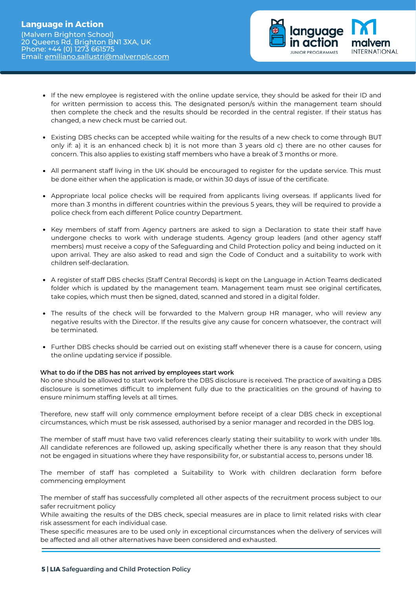

- If the new employee is registered with the online update service, they should be asked for their ID and for written permission to access this. The designated person/s within the management team should then complete the check and the results should be recorded in the central register. If their status has changed, a new check must be carried out.
- Existing DBS checks can be accepted while waiting for the results of a new check to come through BUT only if: a) it is an enhanced check b) it is not more than 3 years old c) there are no other causes for concern. This also applies to existing staff members who have a break of 3 months or more.
- All permanent staff living in the UK should be encouraged to register for the update service. This must be done either when the application is made, or within 30 days of issue of the certificate.
- Appropriate local police checks will be required from applicants living overseas. If applicants lived for more than 3 months in different countries within the previous 5 years, they will be required to provide a police check from each different Police country Department.
- Key members of staff from Agency partners are asked to sign a Declaration to state their staff have undergone checks to work with underage students. Agency group leaders (and other agency staff members) must receive a copy of the Safeguarding and Child Protection policy and being inducted on it upon arrival. They are also asked to read and sign the Code of Conduct and a suitability to work with children self-declaration.
- A register of staff DBS checks (Staff Central Records) is kept on the Language in Action Teams dedicated folder which is updated by the management team. Management team must see original certificates, take copies, which must then be signed, dated, scanned and stored in a digital folder.
- The results of the check will be forwarded to the Malvern group HR manager, who will review any negative results with the Director. If the results give any cause for concern whatsoever, the contract will be terminated.
- Further DBS checks should be carried out on existing staff whenever there is a cause for concern, using the online updating service if possible.

#### What to do if the DBS has not arrived by employees start work

No one should be allowed to start work before the DBS disclosure is received. The practice of awaiting a DBS disclosure is sometimes difficult to implement fully due to the practicalities on the ground of having to ensure minimum staffing levels at all times.

Therefore, new staff will only commence employment before receipt of a clear DBS check in exceptional circumstances, which must be risk assessed, authorised by a senior manager and recorded in the DBS log.

The member of staff must have two valid references clearly stating their suitability to work with under 18s. All candidate references are followed up, asking specifically whether there is any reason that they should not be engaged in situations where they have responsibility for, or substantial access to, persons under 18.

The member of staff has completed a Suitability to Work with children declaration form before commencing employment

The member of staff has successfully completed all other aspects of the recruitment process subject to our safer recruitment policy

While awaiting the results of the DBS check, special measures are in place to limit related risks with clear risk assessment for each individual case.

These specific measures are to be used only in exceptional circumstances when the delivery of services will be affected and all other alternatives have been considered and exhausted.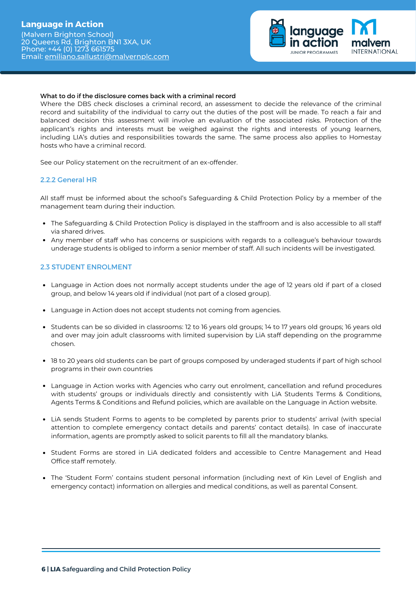# **Language in Action**

(Malvern Brighton School) 20 Queens Rd, Brighton BN1 3XA, UK Phone: +44 (0) 1273 661575 Email: [emiliano.sallustri@malvernplc.com](mailto:emiliano.sallustri@malvernplc.com)



#### What to do if the disclosure comes back with a criminal record

Where the DBS check discloses a criminal record, an assessment to decide the relevance of the criminal record and suitability of the individual to carry out the duties of the post will be made. To reach a fair and balanced decision this assessment will involve an evaluation of the associated risks. Protection of the applicant's rights and interests must be weighed against the rights and interests of young learners, including LIA's duties and responsibilities towards the same. The same process also applies to Homestay hosts who have a criminal record.

See our Policy statement on the recruitment of an ex-offender.

## 2.2.2 General HR

All staff must be informed about the school's Safeguarding & Child Protection Policy by a member of the management team during their induction.

- The Safeguarding & Child Protection Policy is displayed in the staffroom and is also accessible to all staff via shared drives.
- Any member of staff who has concerns or suspicions with regards to a colleague's behaviour towards underage students is obliged to inform a senior member of staff. All such incidents will be investigated.

## 2.3 STUDENT ENROLMENT

- Language in Action does not normally accept students under the age of 12 years old if part of a closed group, and below 14 years old if individual (not part of a closed group).
- Language in Action does not accept students not coming from agencies.
- Students can be so divided in classrooms: 12 to 16 years old groups; 14 to 17 years old groups; 16 years old and over may join adult classrooms with limited supervision by LiA staff depending on the programme chosen.
- 18 to 20 years old students can be part of groups composed by underaged students if part of high school programs in their own countries
- Language in Action works with Agencies who carry out enrolment, cancellation and refund procedures with students' groups or individuals directly and consistently with LiA Students Terms & Conditions, Agents Terms & Conditions and Refund policies, which are available on the Language in Action website.
- LiA sends Student Forms to agents to be completed by parents prior to students' arrival (with special attention to complete emergency contact details and parents' contact details). In case of inaccurate information, agents are promptly asked to solicit parents to fill all the mandatory blanks.
- Student Forms are stored in LiA dedicated folders and accessible to Centre Management and Head Office staff remotely.
- The 'Student Form' contains student personal information (including next of Kin Level of English and emergency contact) information on allergies and medical conditions, as well as parental Consent.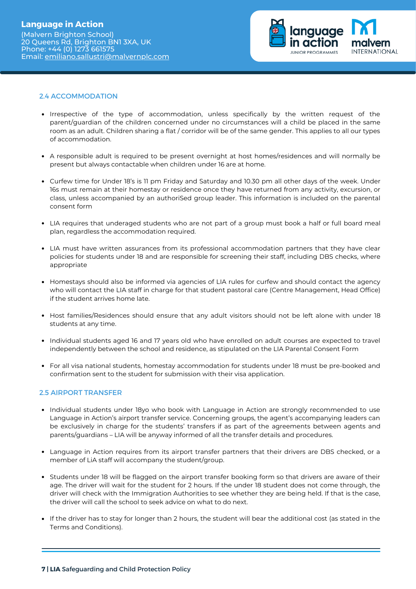

## 2.4 ACCOMMODATION

- Irrespective of the type of accommodation, unless specifically by the written request of the parent/guardian of the children concerned under no circumstances will a child be placed in the same room as an adult. Children sharing a flat / corridor will be of the same gender. This applies to all our types of accommodation.
- A responsible adult is required to be present overnight at host homes/residences and will normally be present but always contactable when children under 16 are at home.
- Curfew time for Under 18's is 11 pm Friday and Saturday and 10.30 pm all other days of the week. Under 16s must remain at their homestay or residence once they have returned from any activity, excursion, or class, unless accompanied by an authoriSed group leader. This information is included on the parental consent form
- LIA requires that underaged students who are not part of a group must book a half or full board meal plan, regardless the accommodation required.
- LIA must have written assurances from its professional accommodation partners that they have clear policies for students under 18 and are responsible for screening their staff, including DBS checks, where appropriate
- Homestays should also be informed via agencies of LIA rules for curfew and should contact the agency who will contact the LIA staff in charge for that student pastoral care (Centre Management, Head Office) if the student arrives home late.
- Host families/Residences should ensure that any adult visitors should not be left alone with under 18 students at any time.
- Individual students aged 16 and 17 years old who have enrolled on adult courses are expected to travel independently between the school and residence, as stipulated on the LIA Parental Consent Form
- For all visa national students, homestay accommodation for students under 18 must be pre-booked and confirmation sent to the student for submission with their visa application.

## 2.5 AIRPORT TRANSFER

- Individual students under 18yo who book with Language in Action are strongly recommended to use Language in Action's airport transfer service. Concerning groups, the agent's accompanying leaders can be exclusively in charge for the students' transfers if as part of the agreements between agents and parents/guardians – LIA will be anyway informed of all the transfer details and procedures.
- Language in Action requires from its airport transfer partners that their drivers are DBS checked, or a member of LiA staff will accompany the student/group.
- Students under 18 will be flagged on the airport transfer booking form so that drivers are aware of their age. The driver will wait for the student for 2 hours. If the under 18 student does not come through, the driver will check with the Immigration Authorities to see whether they are being held. If that is the case, the driver will call the school to seek advice on what to do next.
- If the driver has to stay for longer than 2 hours, the student will bear the additional cost (as stated in the Terms and Conditions).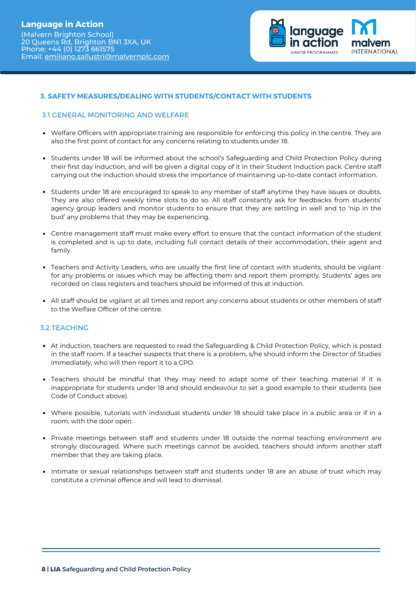

## **3. SAFETY MEASURES/DEALING WITH STUDENTS/CONTACT WITH STUDENTS**

#### 3.1 GENERAL MONITORING AND WELFARE

- Welfare Officers with appropriate training are responsible for enforcing this policy in the centre. They are also the first point of contact for any concerns relating to students under 18.
- Students under 18 will be informed about the school's Safeguarding and Child Protection Policy during their first day induction, and will be given a digital copy of it in their Student Induction pack. Centre staff carrying out the induction should stress the importance of maintaining up-to-date contact information.
- Students under 18 are encouraged to speak to any member of staff anytime they have issues or doubts. They are also offered weekly time slots to do so. All staff constantly ask for feedbacks from students' agency group leaders and monitor students to ensure that they are settling in well and to 'nip in the bud' any problems that they may be experiencing.
- Centre management staff must make every effort to ensure that the contact information of the student is completed and is up to date, including full contact details of their accommodation, their agent and family.
- Teachers and Activity Leaders, who are usually the first line of contact with students, should be vigilant for any problems or issues which may be affecting them and report them promptly. Students' ages are recorded on class registers and teachers should be informed of this at induction.
- All staff should be vigilant at all times and report any concerns about students or other members of staff to the Welfare Officer of the centre.

#### 3.2 TEACHING

- At induction, teachers are requested to read the Safeguarding & Child Protection Policy, which is posted in the staff room. If a teacher suspects that there is a problem, s/he should inform the Director of Studies immediately, who will then report it to a CPO.
- Teachers should be mindful that they may need to adapt some of their teaching material if it is inappropriate for students under 18 and should endeavour to set a good example to their students (see Code of Conduct above).
- Where possible, tutorials with individual students under 18 should take place in a public area or if in a room, with the door open.
- Private meetings between staff and students under 18 outside the normal teaching environment are strongly discouraged. Where such meetings cannot be avoided, teachers should inform another staff member that they are taking place.
- Intimate or sexual relationships between staff and students under 18 are an abuse of trust which may constitute a criminal offence and will lead to dismissal.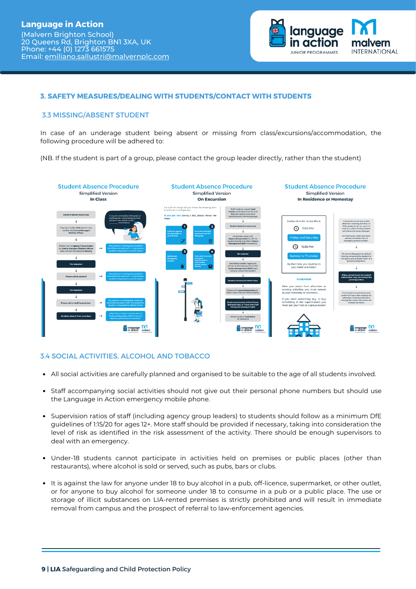

## **3. SAFETY MEASURES/DEALING WITH STUDENTS/CONTACT WITH STUDENTS**

#### 3.3 MISSING/ABSENT STUDENT

In case of an underage student being absent or missing from class/excursions/accommodation, the following procedure will be adhered to:

(NB. If the student is part of a group, please contact the group leader directly, rather than the student)



## 3.4 SOCIAL ACTIVITIES, ALCOHOL AND TOBACCO

- All social activities are carefully planned and organised to be suitable to the age of all students involved.
- Staff accompanying social activities should not give out their personal phone numbers but should use the Language in Action emergency mobile phone.
- Supervision ratios of staff (including agency group leaders) to students should follow as a minimum DfE guidelines of 1:15/20 for ages 12+. More staff should be provided if necessary, taking into consideration the level of risk as identified in the risk assessment of the activity. There should be enough supervisors to deal with an emergency.
- Under-18 students cannot participate in activities held on premises or public places (other than restaurants), where alcohol is sold or served, such as pubs, bars or clubs.
- It is against the law for anyone under 18 to buy alcohol in a pub, off-licence, supermarket, or other outlet, or for anyone to buy alcohol for someone under 18 to consume in a pub or a public place. The use or storage of illicit substances on LIA-rented premises is strictly prohibited and will result in immediate removal from campus and the prospect of referral to law-enforcement agencies.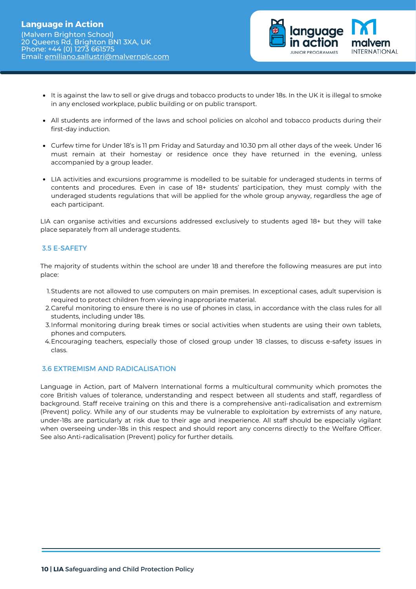

- It is against the law to sell or give drugs and tobacco products to under 18s. In the UK it is illegal to smoke in any enclosed workplace, public building or on public transport.
- All students are informed of the laws and school policies on alcohol and tobacco products during their first-day induction.
- Curfew time for Under 18's is 11 pm Friday and Saturday and 10.30 pm all other days of the week. Under 16 must remain at their homestay or residence once they have returned in the evening, unless accompanied by a group leader.
- LIA activities and excursions programme is modelled to be suitable for underaged students in terms of contents and procedures. Even in case of 18+ students' participation, they must comply with the underaged students regulations that will be applied for the whole group anyway, regardless the age of each participant.

LIA can organise activities and excursions addressed exclusively to students aged 18+ but they will take place separately from all underage students.

## 3.5 E-SAFETY

The majority of students within the school are under 18 and therefore the following measures are put into place:

- 1.Students are not allowed to use computers on main premises. In exceptional cases, adult supervision is required to protect children from viewing inappropriate material.
- Careful monitoring to ensure there is no use of phones in class, in accordance with the class rules for all 2. students, including under 18s.
- Informal monitoring during break times or social activities when students are using their own tablets, 3. phones and computers.
- Encouraging teachers, especially those of closed group under 18 classes, to discuss e-safety issues in 4. class.

## 3.6 EXTREMISM AND RADICALISATION

Language in Action, part of Malvern International forms a multicultural community which promotes the core British values of tolerance, understanding and respect between all students and staff, regardless of background. Staff receive training on this and there is a comprehensive anti-radicalisation and extremism (Prevent) policy. While any of our students may be vulnerable to exploitation by extremists of any nature, under-18s are particularly at risk due to their age and inexperience. All staff should be especially vigilant when overseeing under-18s in this respect and should report any concerns directly to the Welfare Officer. See also Anti-radicalisation (Prevent) policy for further details.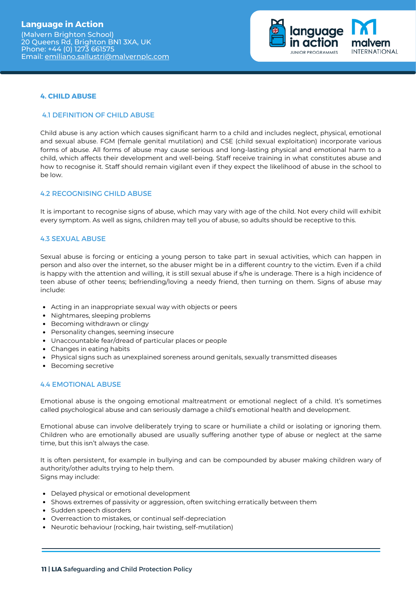(Malvern Brighton School) 20 Queens Rd, Brighton BN1 3XA, UK Phone: +44 (0) 1273 661575 Email: [emiliano.sallustri@malvernplc.com](mailto:emiliano.sallustri@malvernplc.com)



## **4. CHILD ABUSE**

#### 4.1 DEFINITION OF CHILD ABUSE

Child abuse is any action which causes significant harm to a child and includes neglect, physical, emotional and sexual abuse. FGM (female genital mutilation) and CSE (child sexual exploitation) incorporate various forms of abuse. All forms of abuse may cause serious and long-lasting physical and emotional harm to a child, which affects their development and well-being. Staff receive training in what constitutes abuse and how to recognise it. Staff should remain vigilant even if they expect the likelihood of abuse in the school to be low.

## 4.2 RECOGNISING CHILD ABUSE

It is important to recognise signs of abuse, which may vary with age of the child. Not every child will exhibit every symptom. As well as signs, children may tell you of abuse, so adults should be receptive to this.

## 4.3 SEXUAL ABUSE

Sexual abuse is forcing or enticing a young person to take part in sexual activities, which can happen in person and also over the internet, so the abuser might be in a different country to the victim. Even if a child is happy with the attention and willing, it is still sexual abuse if s/he is underage. There is a high incidence of teen abuse of other teens; befriending/loving a needy friend, then turning on them. Signs of abuse may include:

- Acting in an inappropriate sexual way with objects or peers
- Nightmares, sleeping problems
- Becoming withdrawn or clingy
- Personality changes, seeming insecure
- Unaccountable fear/dread of particular places or people
- Changes in eating habits
- Physical signs such as unexplained soreness around genitals, sexually transmitted diseases
- Becoming secretive

## 4.4 EMOTIONAL ABUSE

Emotional abuse is the ongoing emotional maltreatment or emotional neglect of a child. It's sometimes called psychological abuse and can seriously damage a child's emotional health and development.

Emotional abuse can involve deliberately trying to scare or humiliate a child or isolating or ignoring them. Children who are emotionally abused are usually suffering another type of abuse or neglect at the same time, but this isn't always the case.

It is often persistent, for example in bullying and can be compounded by abuser making children wary of authority/other adults trying to help them. Signs may include:

- Delayed physical or emotional development
- Shows extremes of passivity or aggression, often switching erratically between them
- Sudden speech disorders
- Overreaction to mistakes, or continual self-depreciation
- Neurotic behaviour (rocking, hair twisting, self-mutilation)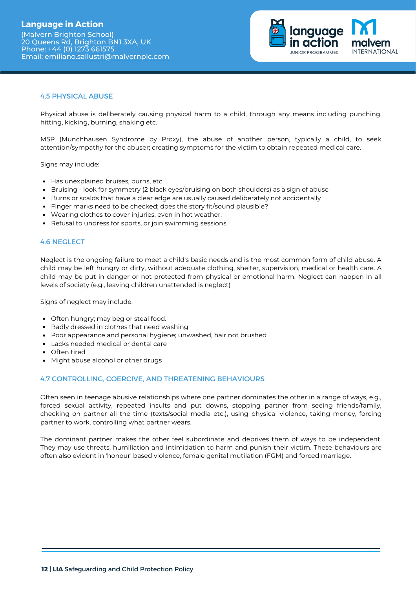

## 4.5 PHYSICAL ABUSE

Physical abuse is deliberately causing physical harm to a child, through any means including punching, hitting, kicking, burning, shaking etc.

MSP (Munchhausen Syndrome by Proxy), the abuse of another person, typically a child, to seek attention/sympathy for the abuser; creating symptoms for the victim to obtain repeated medical care.

Signs may include:

- Has unexplained bruises, burns, etc.
- Bruising look for symmetry (2 black eyes/bruising on both shoulders) as a sign of abuse
- Burns or scalds that have a clear edge are usually caused deliberately not accidentally
- Finger marks need to be checked; does the story fit/sound plausible?
- Wearing clothes to cover injuries, even in hot weather.
- Refusal to undress for sports, or join swimming sessions.

#### 4.6 NEGLECT

Neglect is the ongoing failure to meet a child's basic needs and is the most common form of child abuse. A child may be left hungry or dirty, without adequate clothing, shelter, supervision, medical or health care. A child may be put in danger or not protected from physical or emotional harm. Neglect can happen in all levels of society (e.g., leaving children unattended is neglect)

Signs of neglect may include:

- Often hungry; may beg or steal food.
- Badly dressed in clothes that need washing
- Poor appearance and personal hygiene; unwashed, hair not brushed
- Lacks needed medical or dental care
- Often tired
- Might abuse alcohol or other drugs

#### 4.7 CONTROLLING, COERCIVE, AND THREATENING BEHAVIOURS

Often seen in teenage abusive relationships where one partner dominates the other in a range of ways, e.g., forced sexual activity, repeated insults and put downs, stopping partner from seeing friends/family, checking on partner all the time (texts/social media etc.), using physical violence, taking money, forcing partner to work, controlling what partner wears.

The dominant partner makes the other feel subordinate and deprives them of ways to be independent. They may use threats, humiliation and intimidation to harm and punish their victim. These behaviours are often also evident in 'honour' based violence, female genital mutilation (FGM) and forced marriage.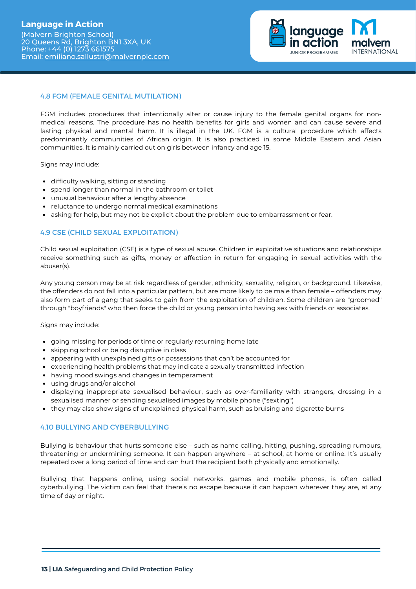

## 4.8 FGM (FEMALE GENITAL MUTILATION)

FGM includes procedures that intentionally alter or cause injury to the female genital organs for nonmedical reasons. The procedure has no health benefits for girls and women and can cause severe and lasting physical and mental harm. It is illegal in the UK. FGM is a cultural procedure which affects predominantly communities of African origin. It is also practiced in some Middle Eastern and Asian communities. It is mainly carried out on girls between infancy and age 15.

Signs may include:

- difficulty walking, sitting or standing
- spend longer than normal in the bathroom or toilet
- unusual behaviour after a lengthy absence
- reluctance to undergo normal medical examinations
- asking for help, but may not be explicit about the problem due to embarrassment or fear.

## 4.9 CSE (CHILD SEXUAL EXPLOITATION)

Child sexual exploitation (CSE) is a type of sexual abuse. Children in exploitative situations and relationships receive something such as gifts, money or affection in return for engaging in sexual activities with the abuser(s).

Any young person may be at risk regardless of gender, ethnicity, sexuality, religion, or background. Likewise, the offenders do not fall into a particular pattern, but are more likely to be male than female – offenders may also form part of a gang that seeks to gain from the exploitation of children. Some children are "groomed" through "boyfriends" who then force the child or young person into having sex with friends or associates.

Signs may include:

- going missing for periods of time or regularly returning home late
- skipping school or being disruptive in class
- appearing with unexplained gifts or possessions that can't be accounted for
- experiencing health problems that may indicate a sexually transmitted infection
- having mood swings and changes in temperament
- using drugs and/or alcohol
- displaying inappropriate sexualised behaviour, such as over-familiarity with strangers, dressing in a sexualised manner or sending sexualised images by mobile phone ("sexting")
- they may also show signs of unexplained physical harm, such as bruising and cigarette burns

#### 4.10 BULLYING AND CYBERBULLYING

Bullying is behaviour that hurts someone else – such as name calling, hitting, pushing, spreading rumours, threatening or undermining someone. It can happen anywhere – at school, at home or online. It's usually repeated over a long period of time and can hurt the recipient both physically and emotionally.

Bullying that happens online, using social networks, games and mobile phones, is often called cyberbullying. The victim can feel that there's no escape because it can happen wherever they are, at any time of day or night.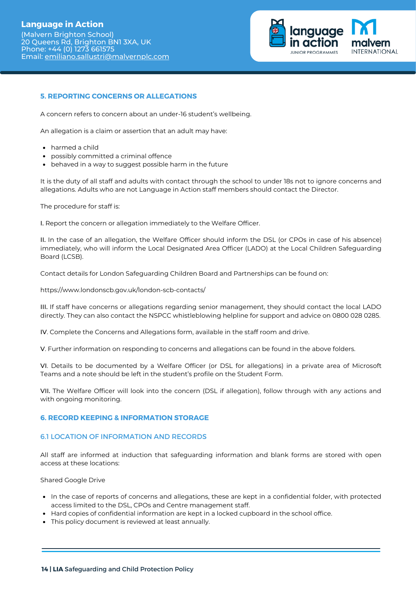# **Language in Action**

(Malvern Brighton School) 20 Queens Rd, Brighton BN1 3XA, UK Phone: +44 (0) 1273 661575 Email: [emiliano.sallustri@malvernplc.com](mailto:emiliano.sallustri@malvernplc.com)



## **5. REPORTING CONCERNS OR ALLEGATIONS**

A concern refers to concern about an under-16 student's wellbeing.

An allegation is a claim or assertion that an adult may have:

- harmed a child
- possibly committed a criminal offence
- behaved in a way to suggest possible harm in the future

It is the duty of all staff and adults with contact through the school to under 18s not to ignore concerns and allegations. Adults who are not Language in Action staff members should contact the Director.

The procedure for staff is:

I. Report the concern or allegation immediately to the Welfare Officer.

II. In the case of an allegation, the Welfare Officer should inform the DSL (or CPOs in case of his absence) immediately, who will inform the Local Designated Area Officer (LADO) at the Local Children Safeguarding Board (LCSB).

Contact details for London Safeguarding Children Board and Partnerships can be found on:

https://www.londonscb.gov.uk/london-scb-contacts/

III. If staff have concerns or allegations regarding senior management, they should contact the local LADO directly. They can also contact the NSPCC whistleblowing helpline for support and advice on 0800 028 0285.

IV. Complete the Concerns and Allegations form, available in the staff room and drive.

V. Further information on responding to concerns and allegations can be found in the above folders.

VI. Details to be documented by a Welfare Officer (or DSL for allegations) in a private area of Microsoft Teams and a note should be left in the student's profile on the Student Form.

VII. The Welfare Officer will look into the concern (DSL if allegation), follow through with any actions and with ongoing monitoring.

#### **6. RECORD KEEPING & INFORMATION STORAGE**

#### 6.1 LOCATION OF INFORMATION AND RECORDS

All staff are informed at induction that safeguarding information and blank forms are stored with open access at these locations:

Shared Google Drive

- In the case of reports of concerns and allegations, these are kept in a confidential folder, with protected access limited to the DSL, CPOs and Centre management staff.
- Hard copies of confidential information are kept in a locked cupboard in the school office.
- This policy document is reviewed at least annually.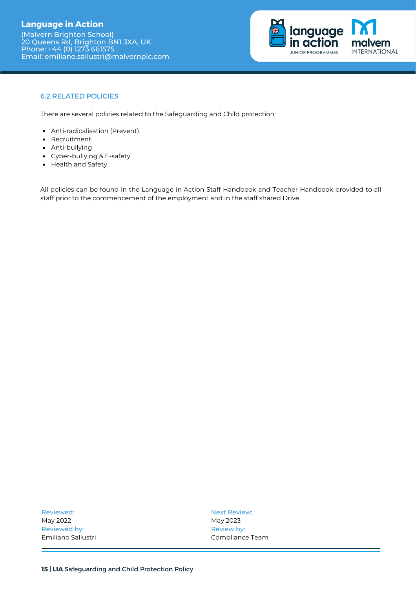(Malvern Brighton School) 20 Queens Rd, Brighton BN1 3XA, UK Phone: +44 (0) 1273 661575 Email: [emiliano.sallustri@malvernplc.com](mailto:emiliano.sallustri@malvernplc.com)



## 6.2 RELATED POLICIES

There are several policies related to the Safeguarding and Child protection:

- Anti-radicalisation (Prevent)
- Recruitment
- Anti-bullying
- Cyber-bullying & E-safety
- Health and Safety

All policies can be found in the Language in Action Staff Handbook and Teacher Handbook provided to all staff prior to the commencement of the employment and in the staff shared Drive.

Reviewed: May 2022 Reviewed by: Emiliano Sallustri Next Review: May 2023 Review by: Compliance Team